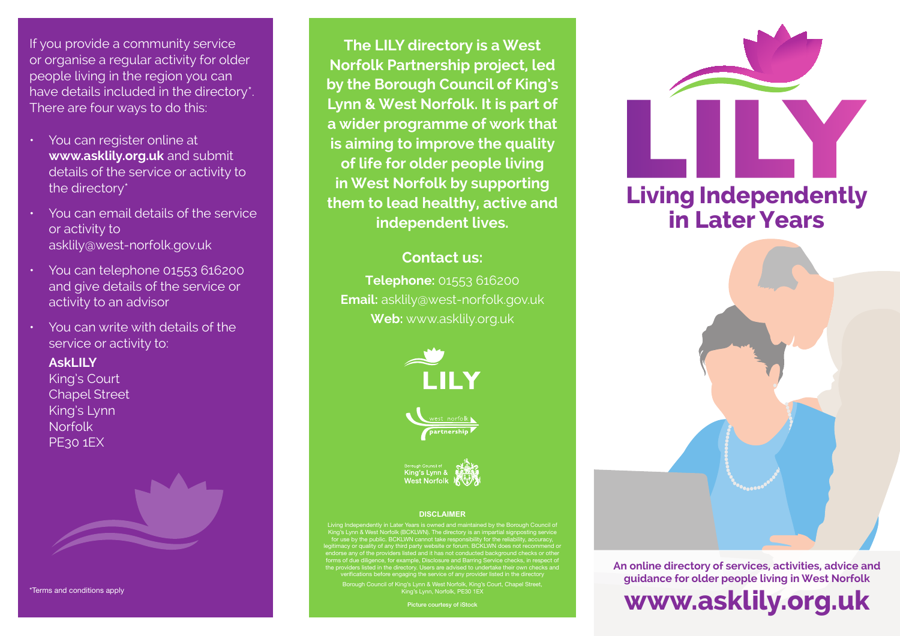If you provide a community service or organise a regular activity for older people living in the region you can have details included in the directory\*. There are four ways to do this:

- You can register online at **www.asklily.org.uk** and submit details of the service or activity to the directory\*
- You can email details of the service or activity to asklily@west-norfolk.gov.uk
- You can telephone 01553 616200 and give details of the service or activity to an advisor
- You can write with details of the service or activity to:

## **AskLILY**

King's Court Chapel Street King's Lynn **Norfolk** PE30 1EX



**The LILY directory is a West Norfolk Partnership project, led by the Borough Council of King's Lynn & West Norfolk. It is part of a wider programme of work that is aiming to improve the quality of life for older people living in West Norfolk by supporting them to lead healthy, active and independent lives.**

## **Contact us:**

**Telephone:** 01553 616200 **Email:** asklily@west-norfolk.gov.uk **Web:** www.asklily.org.uk







## **DISCLAIMER**

Living Independently in Later Years is owned and maintained by the Borough Council of King's Lynn & West Norfolk (BCKLWN). The directory is an impartial signposting service for use by the public. BCKLWN cannot take responsibility for the reliability, accuracy, legitimacy or quality of any third party website or forum. BCKLWN does not recommend or endorse any of the providers listed and it has not conducted background checks or other forms of due diligence, for example, Disclosure and Barring Service checks, in respect of the providers listed in the directory. Users are advised to undertake their own checks and verifications before engaging the service of any provider listed in the directory

> h Council of King's Lynn & West Norfolk, King's Court, Chapel St S = <del>-</del> Juni & 1166t Honorit, Hung<br>King's Lynn, No<u>rfolk, PE30 1E</u>X

> > Picture courtesy of iStock





**An online directory of services, activities, advice and guidance for older people living in West Norfolk** \*Terms and conditions apply<br>Picture courtesy of iStock<br>Picture courtesy of iStock<br>**WWW.asklily.org.uk**